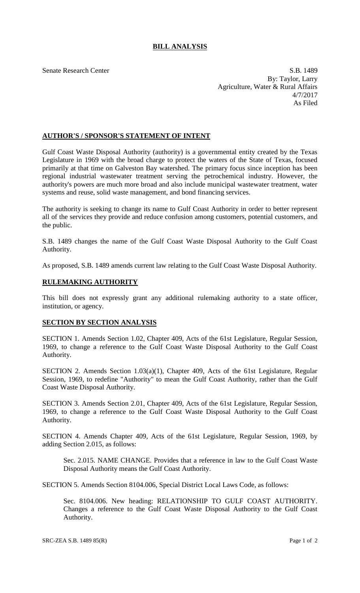## **BILL ANALYSIS**

Senate Research Center S.B. 1489 By: Taylor, Larry Agriculture, Water & Rural Affairs 4/7/2017 As Filed

## **AUTHOR'S / SPONSOR'S STATEMENT OF INTENT**

Gulf Coast Waste Disposal Authority (authority) is a governmental entity created by the Texas Legislature in 1969 with the broad charge to protect the waters of the State of Texas, focused primarily at that time on Galveston Bay watershed. The primary focus since inception has been regional industrial wastewater treatment serving the petrochemical industry. However, the authority's powers are much more broad and also include municipal wastewater treatment, water systems and reuse, solid waste management, and bond financing services.

The authority is seeking to change its name to Gulf Coast Authority in order to better represent all of the services they provide and reduce confusion among customers, potential customers, and the public.

S.B. 1489 changes the name of the Gulf Coast Waste Disposal Authority to the Gulf Coast Authority.

As proposed, S.B. 1489 amends current law relating to the Gulf Coast Waste Disposal Authority.

## **RULEMAKING AUTHORITY**

This bill does not expressly grant any additional rulemaking authority to a state officer, institution, or agency.

## **SECTION BY SECTION ANALYSIS**

SECTION 1. Amends Section 1.02, Chapter 409, Acts of the 61st Legislature, Regular Session, 1969, to change a reference to the Gulf Coast Waste Disposal Authority to the Gulf Coast Authority.

SECTION 2. Amends Section 1.03(a)(1), Chapter 409, Acts of the 61st Legislature, Regular Session, 1969, to redefine "Authority" to mean the Gulf Coast Authority, rather than the Gulf Coast Waste Disposal Authority.

SECTION 3. Amends Section 2.01, Chapter 409, Acts of the 61st Legislature, Regular Session, 1969, to change a reference to the Gulf Coast Waste Disposal Authority to the Gulf Coast Authority.

SECTION 4. Amends Chapter 409, Acts of the 61st Legislature, Regular Session, 1969, by adding Section 2.015, as follows:

Sec. 2.015. NAME CHANGE. Provides that a reference in law to the Gulf Coast Waste Disposal Authority means the Gulf Coast Authority.

SECTION 5. Amends Section 8104.006, Special District Local Laws Code, as follows:

Sec. 8104.006. New heading: RELATIONSHIP TO GULF COAST AUTHORITY. Changes a reference to the Gulf Coast Waste Disposal Authority to the Gulf Coast Authority.